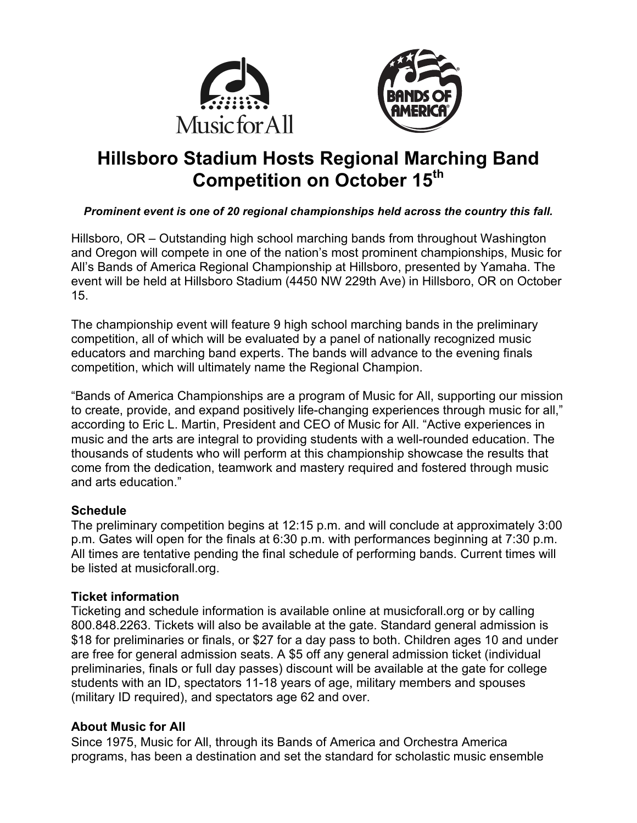



# **Hillsboro Stadium Hosts Regional Marching Band Competition on October 15th**

## *Prominent event is one of 20 regional championships held across the country this fall.*

Hillsboro, OR – Outstanding high school marching bands from throughout Washington and Oregon will compete in one of the nation's most prominent championships, Music for All's Bands of America Regional Championship at Hillsboro, presented by Yamaha. The event will be held at Hillsboro Stadium (4450 NW 229th Ave) in Hillsboro, OR on October 15.

The championship event will feature 9 high school marching bands in the preliminary competition, all of which will be evaluated by a panel of nationally recognized music educators and marching band experts. The bands will advance to the evening finals competition, which will ultimately name the Regional Champion.

"Bands of America Championships are a program of Music for All, supporting our mission to create, provide, and expand positively life-changing experiences through music for all," according to Eric L. Martin, President and CEO of Music for All. "Active experiences in music and the arts are integral to providing students with a well-rounded education. The thousands of students who will perform at this championship showcase the results that come from the dedication, teamwork and mastery required and fostered through music and arts education."

### **Schedule**

The preliminary competition begins at 12:15 p.m. and will conclude at approximately 3:00 p.m. Gates will open for the finals at 6:30 p.m. with performances beginning at 7:30 p.m. All times are tentative pending the final schedule of performing bands. Current times will be listed at musicforall.org.

### **Ticket information**

Ticketing and schedule information is available online at musicforall.org or by calling 800.848.2263. Tickets will also be available at the gate. Standard general admission is \$18 for preliminaries or finals, or \$27 for a day pass to both. Children ages 10 and under are free for general admission seats. A \$5 off any general admission ticket (individual preliminaries, finals or full day passes) discount will be available at the gate for college students with an ID, spectators 11-18 years of age, military members and spouses (military ID required), and spectators age 62 and over.

### **About Music for All**

Since 1975, Music for All, through its Bands of America and Orchestra America programs, has been a destination and set the standard for scholastic music ensemble